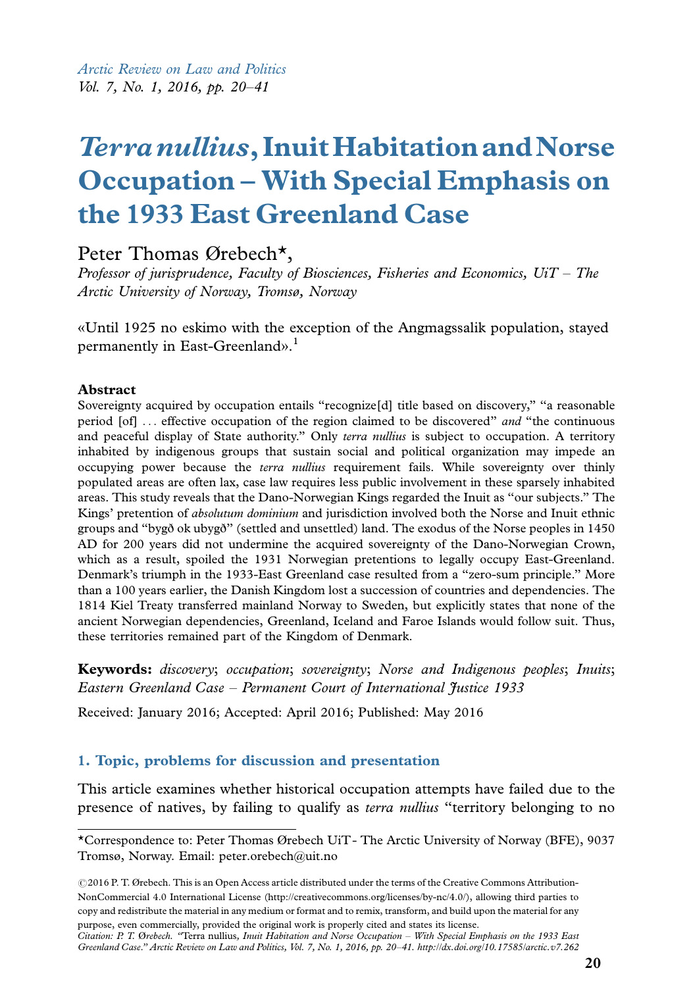Arctic Review on Law and Politics Vol. 7, No. 1, 2016, pp. 20-41

# Terranullius, Inuit Habitation and Norse Occupation - With Special Emphasis on the 1933 East Greenland Case

# Peter Thomas Ørebech\*,

Professor of jurisprudence, Faculty of Biosciences, Fisheries and Economics, UiT – The Arctic University of Norway, Tromsø, Norway

«Until 1925 no eskimo with the exception of the Angmagssalik population, stayed permanently in East-Greenland». 1

#### Abstract

Sovereignty acquired by occupation entails "recognize<sup>[d]</sup> title based on discovery," "a reasonable period [of] ... effective occupation of the region claimed to be discovered" and "the continuous and peaceful display of State authority." Only terra nullius is subject to occupation. A territory inhabited by indigenous groups that sustain social and political organization may impede an occupying power because the terra nullius requirement fails. While sovereignty over thinly populated areas are often lax, case law requires less public involvement in these sparsely inhabited areas. This study reveals that the Dano-Norwegian Kings regarded the Inuit as ''our subjects.'' The Kings' pretention of absolutum dominium and jurisdiction involved both the Norse and Inuit ethnic groups and ''bygð ok ubygð'' (settled and unsettled) land. The exodus of the Norse peoples in 1450 AD for 200 years did not undermine the acquired sovereignty of the Dano-Norwegian Crown, which as a result, spoiled the 1931 Norwegian pretentions to legally occupy East-Greenland. Denmark's triumph in the 1933-East Greenland case resulted from a ''zero-sum principle.'' More than a 100 years earlier, the Danish Kingdom lost a succession of countries and dependencies. The 1814 Kiel Treaty transferred mainland Norway to Sweden, but explicitly states that none of the ancient Norwegian dependencies, Greenland, Iceland and Faroe Islands would follow suit. Thus, these territories remained part of the Kingdom of Denmark.

Keywords: discovery; occupation; sovereignty; Norse and Indigenous peoples; Inuits; Eastern Greenland Case - Permanent Court of International Justice 1933

Received: January 2016; Accepted: April 2016; Published: May 2016

### 1. Topic, problems for discussion and presentation

This article examines whether historical occupation attempts have failed due to the [presence](http://arcticreview.no/index.php/arctic/article/view/262) [of natives, by failing to qualify as](http://arcticreview.no/index.php/arctic/article/view/262) *terra n[u](http://arcticreview.no/index.php/arctic/article/view/262)llius* "territory belonging to no

© 2016 P. T. Ørebech. This is an Open Access article distributed under the terms of the Creative Commons Attribution-NonCommercial 4.0 International License (http://creativecommons.org/licenses/by-nc/4.0/), allowing third parties to copy and redistribute the material in any medium or format and to remix, transform, and build upon the material for any purpose, even commercially, provided the original work is properly cited and states its license.

Citation: P. T. Ørebech. ''Terra nullius, Inuit Habitation and Norse Occupation - With Special Emphasis on the 1933 East Greenland Case.'' Arctic Review on Law and Politics, Vol. 7, No. 1, 2016, pp. 20-41. http://dx.doi.org/10.17585/arctic.v7.262

<sup>\*</sup>Correspondence to: Peter Thomas Ørebech UiT- The Arctic University of Norway (BFE), 9037 Tromsø, Norway. Email: peter.orebech@uit.no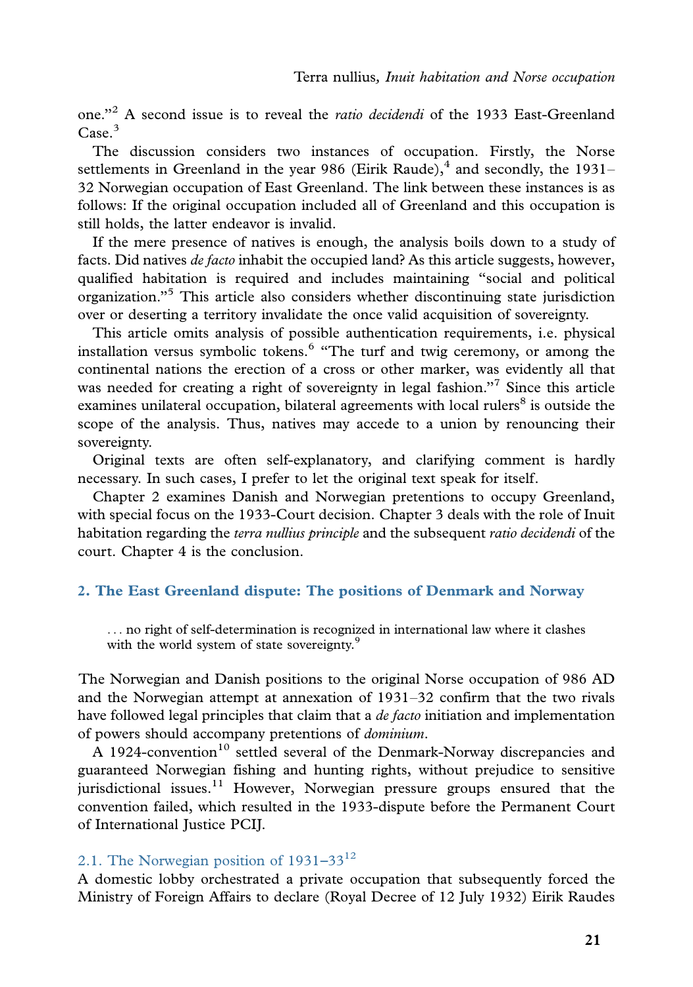one."<sup>2</sup> A second issue is to reveal the *ratio decidendi* of the 1933 East-Greenland  $\text{Case}^3$ 

The discussion considers two instances of occupation. Firstly, the Norse settlements in Greenland in the year 986 (Eirik Raude), $^{4}$  and secondly, the 1931-32 Norwegian occupation of East Greenland. The link between these instances is as follows: If the original occupation included all of Greenland and this occupation is still holds, the latter endeavor is invalid.

If the mere presence of natives is enough, the analysis boils down to a study of facts. Did natives de facto inhabit the occupied land? As this article suggests, however, qualified habitation is required and includes maintaining ''social and political organization.''<sup>5</sup> This article also considers whether discontinuing state jurisdiction over or deserting a territory invalidate the once valid acquisition of sovereignty.

This article omits analysis of possible authentication requirements, i.e. physical installation versus symbolic tokens.<sup>6</sup> "The turf and twig ceremony, or among the continental nations the erection of a cross or other marker, was evidently all that was needed for creating a right of sovereignty in legal fashion."<sup>7</sup> Since this article examines unilateral occupation, bilateral agreements with local rulers<sup>8</sup> is outside the scope of the analysis. Thus, natives may accede to a union by renouncing their sovereignty.

Original texts are often self-explanatory, and clarifying comment is hardly necessary. In such cases, I prefer to let the original text speak for itself.

Chapter 2 examines Danish and Norwegian pretentions to occupy Greenland, with special focus on the 1933-Court decision. Chapter 3 deals with the role of Inuit habitation regarding the *terra nullius principle* and the subsequent *ratio decidendi* of the court. Chapter 4 is the conclusion.

# 2. The East Greenland dispute: The positions of Denmark and Norway

... no right of self-determination is recognized in international law where it clashes with the world system of state sovereignty.<sup>9</sup>

The Norwegian and Danish positions to the original Norse occupation of 986 AD and the Norwegian attempt at annexation of 1931-32 confirm that the two rivals have followed legal principles that claim that a *de facto* initiation and implementation of powers should accompany pretentions of dominium.

 $\overline{A}$  1924-convention<sup>10</sup> settled several of the Denmark-Norway discrepancies and guaranteed Norwegian fishing and hunting rights, without prejudice to sensitive jurisdictional issues.<sup>11</sup> However, Norwegian pressure groups ensured that the convention failed, which resulted in the 1933-dispute before the Permanent Court of International Justice PCIJ.

# 2.1. The Norwegian position of  $1931-33^{12}$

A domestic lobby orchestrated a private occupation that subsequently forced the Ministry of Foreign Affairs to declare (Royal Decree of 12 July 1932) Eirik Raudes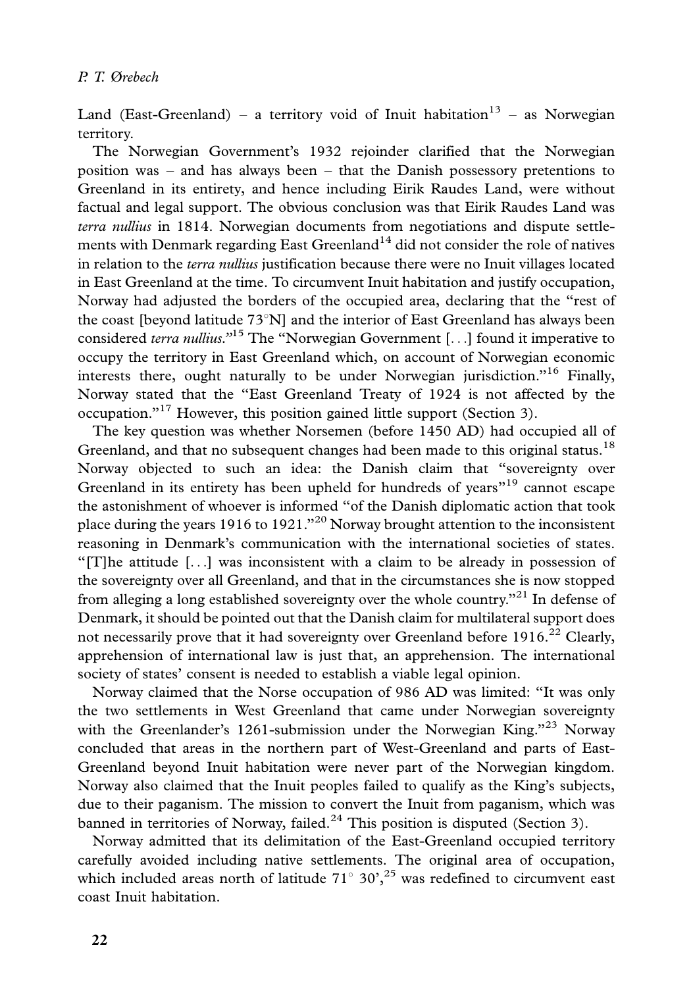Land (East-Greenland) – a territory void of Inuit habitation $13$  – as Norwegian territory.

The Norwegian Government's 1932 rejoinder clarified that the Norwegian position was - and has always been - that the Danish possessory pretentions to Greenland in its entirety, and hence including Eirik Raudes Land, were without factual and legal support. The obvious conclusion was that Eirik Raudes Land was terra nullius in 1814. Norwegian documents from negotiations and dispute settlements with Denmark regarding East Greenland<sup>14</sup> did not consider the role of natives in relation to the terra nullius justification because there were no Inuit villages located in East Greenland at the time. To circumvent Inuit habitation and justify occupation, Norway had adjusted the borders of the occupied area, declaring that the ''rest of the coast [beyond latitude  $73^{\circ}$ N] and the interior of East Greenland has always been considered *terra nullius.*<sup> $15$ </sup> The "Norwegian Government [...] found it imperative to occupy the territory in East Greenland which, on account of Norwegian economic interests there, ought naturally to be under Norwegian jurisdiction.<sup>''16</sup> Finally, Norway stated that the ''East Greenland Treaty of 1924 is not affected by the occupation.''<sup>17</sup> However, this position gained little support (Section 3).

The key question was whether Norsemen (before 1450 AD) had occupied all of Greenland, and that no subsequent changes had been made to this original status.<sup>18</sup> Norway objected to such an idea: the Danish claim that ''sovereignty over Greenland in its entirety has been upheld for hundreds of years<sup>"19</sup> cannot escape the astonishment of whoever is informed ''of the Danish diplomatic action that took place during the years 1916 to 1921.''<sup>20</sup> Norway brought attention to the inconsistent reasoning in Denmark's communication with the international societies of states. ''[T]he attitude [...] was inconsistent with a claim to be already in possession of the sovereignty over all Greenland, and that in the circumstances she is now stopped from alleging a long established sovereignty over the whole country."<sup>21</sup> In defense of Denmark, it should be pointed out that the Danish claim for multilateral support does not necessarily prove that it had sovereignty over Greenland before  $1916<sup>22</sup>$  Clearly, apprehension of international law is just that, an apprehension. The international society of states' consent is needed to establish a viable legal opinion.

Norway claimed that the Norse occupation of 986 AD was limited: ''It was only the two settlements in West Greenland that came under Norwegian sovereignty with the Greenlander's 1261-submission under the Norwegian King."<sup>23</sup> Norway concluded that areas in the northern part of West-Greenland and parts of East-Greenland beyond Inuit habitation were never part of the Norwegian kingdom. Norway also claimed that the Inuit peoples failed to qualify as the King's subjects, due to their paganism. The mission to convert the Inuit from paganism, which was banned in territories of Norway, failed.<sup>24</sup> This position is disputed (Section 3).

Norway admitted that its delimitation of the East-Greenland occupied territory carefully avoided including native settlements. The original area of occupation, which included areas north of latitude  $71^{\circ}$  30',<sup>25</sup> was redefined to circumvent east coast Inuit habitation.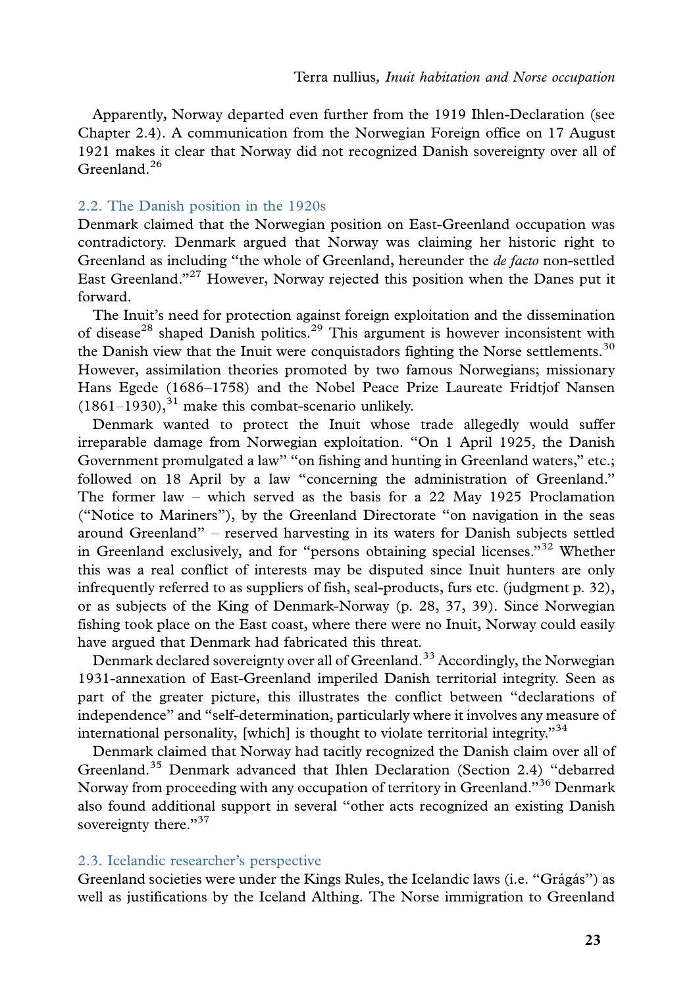Apparently, Norway departed even further from the 1919 Ihlen-Declaration (see Chapter 2.4). A communication from the Norwegian Foreign office on 17 August 1921 makes it clear that Norway did not recognized Danish sovereignty over all of Greenland. $26$ 

# 2.2. The Danish position in the 1920s

Denmark claimed that the Norwegian position on East-Greenland occupation was contradictory. Denmark argued that Norway was claiming her historic right to Greenland as including "the whole of Greenland, hereunder the *de facto* non-settled East Greenland."<sup>27</sup> However, Norway rejected this position when the Danes put it forward.

The Inuit's need for protection against foreign exploitation and the dissemination of disease<sup>28</sup> shaped Danish politics.<sup>29</sup> This argument is however inconsistent with the Danish view that the Inuit were conquistadors fighting the Norse settlements.<sup>30</sup> However, assimilation theories promoted by two famous Norwegians; missionary

Hans Egede (1686-1758) and the Nobel Peace Prize Laureate Fridtjof Nansen  $(1861-1930),<sup>31</sup>$  make this combat-scenario unlikely.

Denmark wanted to protect the Inuit whose trade allegedly would suffer irreparable damage from Norwegian exploitation. ''On 1 April 1925, the Danish Government promulgated a law" "on fishing and hunting in Greenland waters," etc.; followed on 18 April by a law ''concerning the administration of Greenland.'' The former law - which served as the basis for a 22 May 1925 Proclamation (''Notice to Mariners''), by the Greenland Directorate ''on navigation in the seas around Greenland'' - reserved harvesting in its waters for Danish subjects settled in Greenland exclusively, and for "persons obtaining special licenses."<sup>32</sup> Whether this was a real conflict of interests may be disputed since Inuit hunters are only infrequently referred to as suppliers of fish, seal-products, furs etc. (judgment p. 32), or as subjects of the King of Denmark-Norway (p. 28, 37, 39). Since Norwegian fishing took place on the East coast, where there were no Inuit, Norway could easily have argued that Denmark had fabricated this threat.

Denmark declared sovereignty over all of Greenland.<sup>33</sup> Accordingly, the Norwegian 1931-annexation of East-Greenland imperiled Danish territorial integrity. Seen as part of the greater picture, this illustrates the conflict between ''declarations of independence'' and ''self-determination, particularly where it involves any measure of international personality, [which] is thought to violate territorial integrity."<sup>34</sup>

Denmark claimed that Norway had tacitly recognized the Danish claim over all of Greenland.<sup>35</sup> Denmark advanced that Ihlen Declaration (Section 2.4) ''debarred Norway from proceeding with any occupation of territory in Greenland."<sup>36</sup> Denmark also found additional support in several ''other acts recognized an existing Danish sovereignty there."<sup>37</sup>

# 2.3. Icelandic researcher's perspective

Greenland societies were under the Kings Rules, the Icelandic laws (i.e. "Grágás") as well as justifications by the Iceland Althing. The Norse immigration to Greenland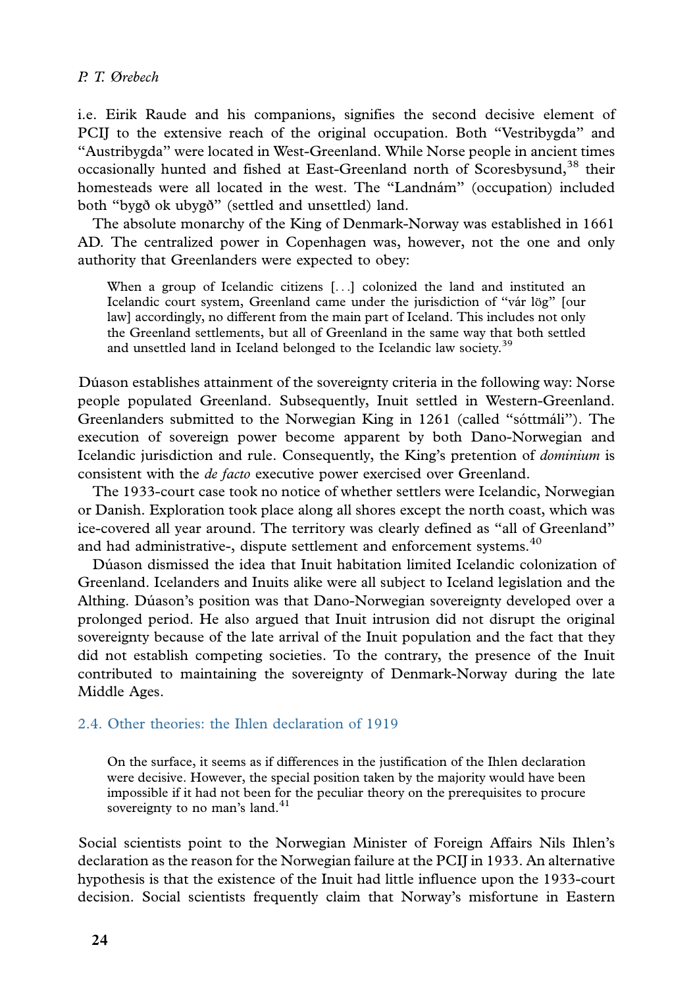i.e. Eirik Raude and his companions, signifies the second decisive element of PCIJ to the extensive reach of the original occupation. Both ''Vestribygda'' and ''Austribygda'' were located in West-Greenland. While Norse people in ancient times occasionally hunted and fished at East-Greenland north of Scoresbysund,<sup>38</sup> their homesteads were all located in the west. The "Landnám" (occupation) included both ''bygð ok ubygð'' (settled and unsettled) land.

The absolute monarchy of the King of Denmark-Norway was established in 1661 AD. The centralized power in Copenhagen was, however, not the one and only authority that Greenlanders were expected to obey:

When a group of Icelandic citizens [...] colonized the land and instituted an Icelandic court system, Greenland came under the jurisdiction of "vár lög" [our law] accordingly, no different from the main part of Iceland. This includes not only the Greenland settlements, but all of Greenland in the same way that both settled and unsettled land in Iceland belonged to the Icelandic law society.<sup>39</sup>

Dúason establishes attainment of the sovereignty criteria in the following way: Norse people populated Greenland. Subsequently, Inuit settled in Western-Greenland. Greenlanders submitted to the Norwegian King in 1261 (called "sóttmáli"). The execution of sovereign power become apparent by both Dano-Norwegian and Icelandic jurisdiction and rule. Consequently, the King's pretention of dominium is consistent with the de facto executive power exercised over Greenland.

The 1933-court case took no notice of whether settlers were Icelandic, Norwegian or Danish. Exploration took place along all shores except the north coast, which was ice-covered all year around. The territory was clearly defined as ''all of Greenland'' and had administrative-, dispute settlement and enforcement systems.<sup>40</sup>

Dúason dismissed the idea that Inuit habitation limited Icelandic colonization of Greenland. Icelanders and Inuits alike were all subject to Iceland legislation and the Althing. Dúason's position was that Dano-Norwegian sovereignty developed over a prolonged period. He also argued that Inuit intrusion did not disrupt the original sovereignty because of the late arrival of the Inuit population and the fact that they did not establish competing societies. To the contrary, the presence of the Inuit contributed to maintaining the sovereignty of Denmark-Norway during the late Middle Ages.

### 2.4. Other theories: the Ihlen declaration of 1919

On the surface, it seems as if differences in the justification of the Ihlen declaration were decisive. However, the special position taken by the majority would have been impossible if it had not been for the peculiar theory on the prerequisites to procure sovereignty to no man's land. $41$ 

Social scientists point to the Norwegian Minister of Foreign Affairs Nils Ihlen's declaration as the reason for the Norwegian failure at the PCIJ in 1933. An alternative hypothesis is that the existence of the Inuit had little influence upon the 1933-court decision. Social scientists frequently claim that Norway's misfortune in Eastern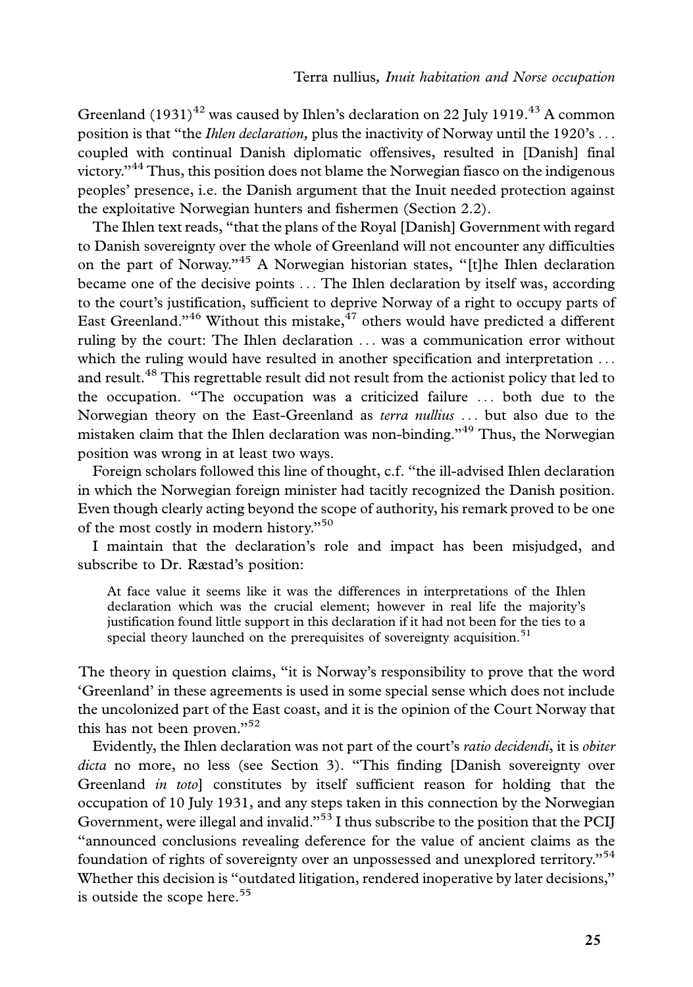Greenland  $(1931)^{42}$  was caused by Ihlen's declaration on 22 July 1919.<sup>43</sup> A common position is that "the *Ihlen declaration*, plus the inactivity of Norway until the 1920's ... coupled with continual Danish diplomatic offensives, resulted in [Danish] final victory.<sup>344</sup> Thus, this position does not blame the Norwegian fiasco on the indigenous peoples' presence, i.e. the Danish argument that the Inuit needed protection against the exploitative Norwegian hunters and fishermen (Section 2.2).

The Ihlen text reads, ''that the plans of the Royal [Danish] Government with regard to Danish sovereignty over the whole of Greenland will not encounter any difficulties on the part of Norway."<sup>45</sup> A Norwegian historian states, "[t]he Ihlen declaration became one of the decisive points ... The Ihlen declaration by itself was, according to the court's justification, sufficient to deprive Norway of a right to occupy parts of East Greenland."<sup>46</sup> Without this mistake, $^{47}$  others would have predicted a different ruling by the court: The Ihlen declaration ... was a communication error without which the ruling would have resulted in another specification and interpretation ... and result.<sup>48</sup> This regrettable result did not result from the actionist policy that led to the occupation. ''The occupation was a criticized failure ... both due to the Norwegian theory on the East-Greenland as terra nullius ... but also due to the mistaken claim that the Ihlen declaration was non-binding.''<sup>49</sup> Thus, the Norwegian position was wrong in at least two ways.

Foreign scholars followed this line of thought, c.f. ''the ill-advised Ihlen declaration in which the Norwegian foreign minister had tacitly recognized the Danish position. Even though clearly acting beyond the scope of authority, his remark proved to be one of the most costly in modern history."<sup>50</sup>

I maintain that the declaration's role and impact has been misjudged, and subscribe to Dr. Ræstad's position:

At face value it seems like it was the differences in interpretations of the Ihlen declaration which was the crucial element; however in real life the majority's justification found little support in this declaration if it had not been for the ties to a special theory launched on the prerequisites of sovereignty acquisition.<sup>51</sup>

The theory in question claims, "it is Norway's responsibility to prove that the word 'Greenland' in these agreements is used in some special sense which does not include the uncolonized part of the East coast, and it is the opinion of the Court Norway that this has not been proven."<sup>52</sup>

Evidently, the Ihlen declaration was not part of the court's ratio decidendi, it is obiter dicta no more, no less (see Section 3). "This finding [Danish sovereignty over Greenland in toto] constitutes by itself sufficient reason for holding that the occupation of 10 July 1931, and any steps taken in this connection by the Norwegian Government, were illegal and invalid."<sup>53</sup> I thus subscribe to the position that the PCIJ ''announced conclusions revealing deference for the value of ancient claims as the foundation of rights of sovereignty over an unpossessed and unexplored territory."<sup>54</sup> Whether this decision is ''outdated litigation, rendered inoperative by later decisions,'' is outside the scope here.<sup>55</sup>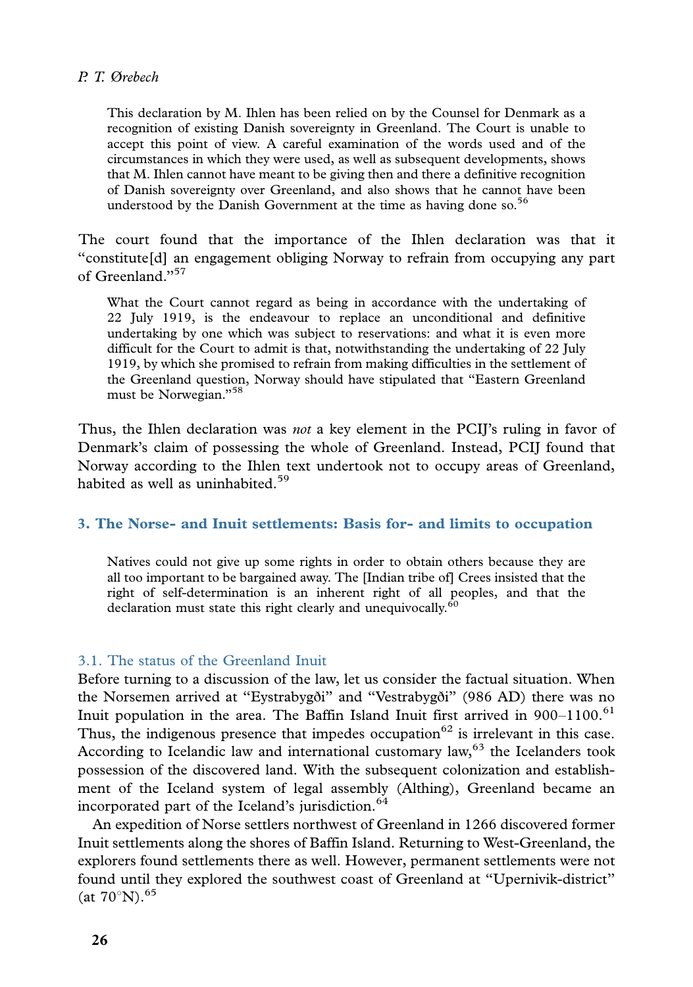This declaration by M. Ihlen has been relied on by the Counsel for Denmark as a recognition of existing Danish sovereignty in Greenland. The Court is unable to accept this point of view. A careful examination of the words used and of the circumstances in which they were used, as well as subsequent developments, shows that M. Ihlen cannot have meant to be giving then and there a definitive recognition of Danish sovereignty over Greenland, and also shows that he cannot have been understood by the Danish Government at the time as having done so.<sup>56</sup>

The court found that the importance of the Ihlen declaration was that it ''constitute[d] an engagement obliging Norway to refrain from occupying any part of Greenland."<sup>57</sup>

What the Court cannot regard as being in accordance with the undertaking of 22 July 1919, is the endeavour to replace an unconditional and definitive undertaking by one which was subject to reservations: and what it is even more difficult for the Court to admit is that, notwithstanding the undertaking of 22 July 1919, by which she promised to refrain from making difficulties in the settlement of the Greenland question, Norway should have stipulated that ''Eastern Greenland must be Norwegian."<sup>58</sup>

Thus, the Ihlen declaration was *not* a key element in the PCII's ruling in favor of Denmark's claim of possessing the whole of Greenland. Instead, PCIJ found that Norway according to the Ihlen text undertook not to occupy areas of Greenland, habited as well as uninhabited.<sup>59</sup>

#### 3. The Norse- and Inuit settlements: Basis for- and limits to occupation

Natives could not give up some rights in order to obtain others because they are all too important to be bargained away. The [Indian tribe of] Crees insisted that the right of self-determination is an inherent right of all peoples, and that the declaration must state this right clearly and unequivocally.<sup>60</sup>

#### 3.1. The status of the Greenland Inuit

Before turning to a discussion of the law, let us consider the factual situation. When the Norsemen arrived at ''Eystrabygði'' and ''Vestrabygði'' (986 AD) there was no Inuit population in the area. The Baffin Island Inuit first arrived in 900-1100.<sup>61</sup> Thus, the indigenous presence that impedes occupation<sup>62</sup> is irrelevant in this case. According to Icelandic law and international customary law, $63$  the Icelanders took possession of the discovered land. With the subsequent colonization and establishment of the Iceland system of legal assembly (Althing), Greenland became an incorporated part of the Iceland's jurisdiction.<sup>64</sup>

An expedition of Norse settlers northwest of Greenland in 1266 discovered former Inuit settlements along the shores of Baffin Island. Returning to West-Greenland, the explorers found settlements there as well. However, permanent settlements were not found until they explored the southwest coast of Greenland at ''Upernivik-district'' (at  $70^{\circ}$ N).<sup>65</sup>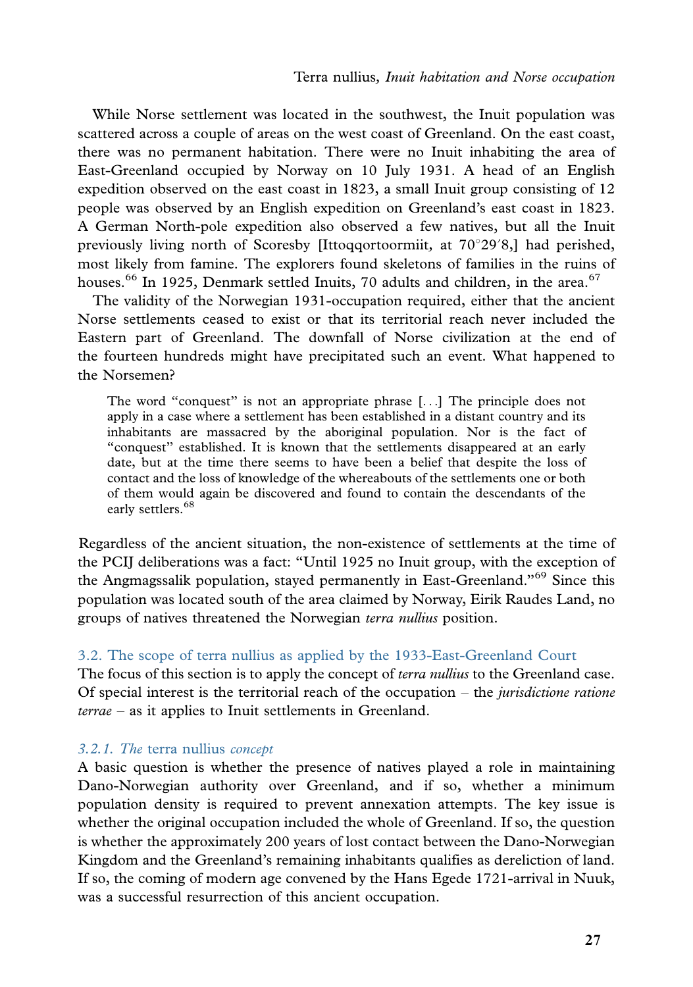While Norse settlement was located in the southwest, the Inuit population was scattered across a couple of areas on the west coast of Greenland. On the east coast, there was no permanent habitation. There were no Inuit inhabiting the area of East-Greenland occupied by Norway on 10 July 1931. A head of an English expedition observed on the east coast in 1823, a small Inuit group consisting of 12 people was observed by an English expedition on Greenland's east coast in 1823. A German North-pole expedition also observed a few natives, but all the Inuit previously living north of Scoresby [Ittoqqortoormiit, at  $70^{\circ}29'8$ ,] had perished, most likely from famine. The explorers found skeletons of families in the ruins of houses.<sup>66</sup> In 1925, Denmark settled Inuits, 70 adults and children, in the area.<sup>67</sup>

The validity of the Norwegian 1931-occupation required, either that the ancient Norse settlements ceased to exist or that its territorial reach never included the Eastern part of Greenland. The downfall of Norse civilization at the end of the fourteen hundreds might have precipitated such an event. What happened to the Norsemen?

The word ''conquest'' is not an appropriate phrase [...] The principle does not apply in a case where a settlement has been established in a distant country and its inhabitants are massacred by the aboriginal population. Nor is the fact of ''conquest'' established. It is known that the settlements disappeared at an early date, but at the time there seems to have been a belief that despite the loss of contact and the loss of knowledge of the whereabouts of the settlements one or both of them would again be discovered and found to contain the descendants of the early settlers.<sup>68</sup>

Regardless of the ancient situation, the non-existence of settlements at the time of the PCIJ deliberations was a fact: ''Until 1925 no Inuit group, with the exception of the Angmagssalik population, stayed permanently in East-Greenland."<sup>69</sup> Since this population was located south of the area claimed by Norway, Eirik Raudes Land, no groups of natives threatened the Norwegian terra nullius position.

# 3.2. The scope of terra nullius as applied by the 1933-East-Greenland Court

The focus of this section is to apply the concept of *terra nullius* to the Greenland case. Of special interest is the territorial reach of the occupation  $-$  the jurisdictione ratione terrae - as it applies to Inuit settlements in Greenland.

# 3.2.1. The terra nullius concept

A basic question is whether the presence of natives played a role in maintaining Dano-Norwegian authority over Greenland, and if so, whether a minimum population density is required to prevent annexation attempts. The key issue is whether the original occupation included the whole of Greenland. If so, the question is whether the approximately 200 years of lost contact between the Dano-Norwegian Kingdom and the Greenland's remaining inhabitants qualifies as dereliction of land. If so, the coming of modern age convened by the Hans Egede 1721-arrival in Nuuk, was a successful resurrection of this ancient occupation.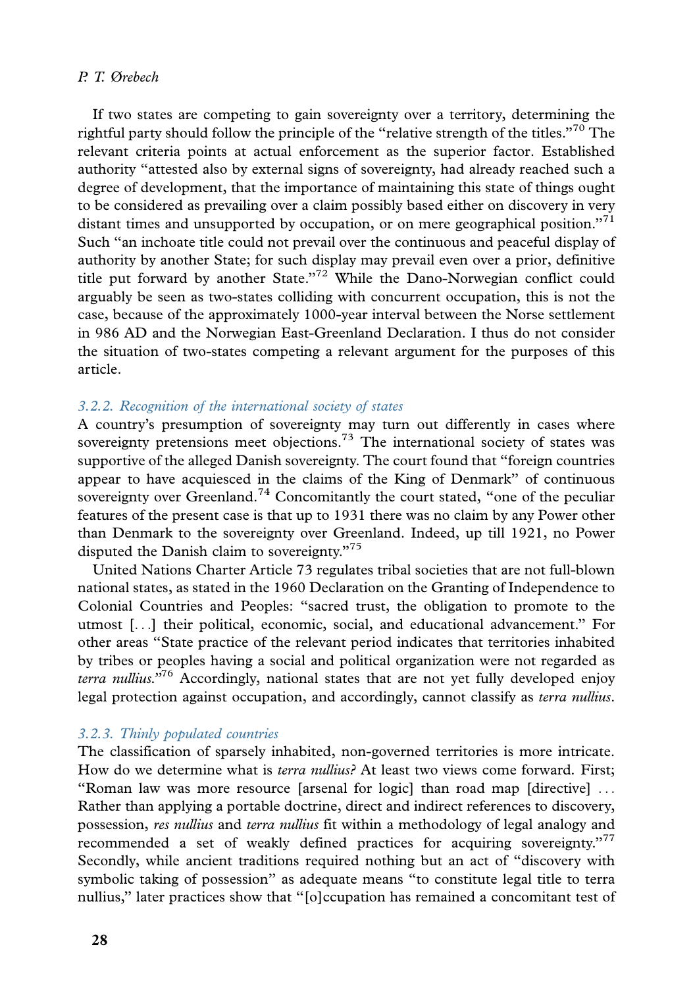If two states are competing to gain sovereignty over a territory, determining the rightful party should follow the principle of the "relative strength of the titles."<sup>70</sup> The relevant criteria points at actual enforcement as the superior factor. Established authority ''attested also by external signs of sovereignty, had already reached such a degree of development, that the importance of maintaining this state of things ought to be considered as prevailing over a claim possibly based either on discovery in very distant times and unsupported by occupation, or on mere geographical position."<sup>71</sup> Such ''an inchoate title could not prevail over the continuous and peaceful display of authority by another State; for such display may prevail even over a prior, definitive title put forward by another State."<sup>72</sup> While the Dano-Norwegian conflict could arguably be seen as two-states colliding with concurrent occupation, this is not the case, because of the approximately 1000-year interval between the Norse settlement in 986 AD and the Norwegian East-Greenland Declaration. I thus do not consider the situation of two-states competing a relevant argument for the purposes of this article.

# 3.2.2. Recognition of the international society of states

A country's presumption of sovereignty may turn out differently in cases where sovereignty pretensions meet objections.<sup>73</sup> The international society of states was supportive of the alleged Danish sovereignty. The court found that ''foreign countries appear to have acquiesced in the claims of the King of Denmark'' of continuous sovereignty over Greenland.<sup>74</sup> Concomitantly the court stated, "one of the peculiar features of the present case is that up to 1931 there was no claim by any Power other than Denmark to the sovereignty over Greenland. Indeed, up till 1921, no Power disputed the Danish claim to sovereignty."<sup>75</sup>

United Nations Charter Article 73 regulates tribal societies that are not full-blown national states, as stated in the 1960 Declaration on the Granting of Independence to Colonial Countries and Peoples: ''sacred trust, the obligation to promote to the utmost [...] their political, economic, social, and educational advancement.'' For other areas ''State practice of the relevant period indicates that territories inhabited by tribes or peoples having a social and political organization were not regarded as terra nullius.<sup> $176$ </sup> Accordingly, national states that are not yet fully developed enjoy legal protection against occupation, and accordingly, cannot classify as terra nullius.

#### 3.2.3. Thinly populated countries

The classification of sparsely inhabited, non-governed territories is more intricate. How do we determine what is terra nullius? At least two views come forward. First: ''Roman law was more resource [arsenal for logic] than road map [directive] ... Rather than applying a portable doctrine, direct and indirect references to discovery, possession, res nullius and terra nullius fit within a methodology of legal analogy and recommended a set of weakly defined practices for acquiring sovereignty."<sup>77</sup> Secondly, while ancient traditions required nothing but an act of ''discovery with symbolic taking of possession'' as adequate means ''to constitute legal title to terra nullius,'' later practices show that ''[o]ccupation has remained a concomitant test of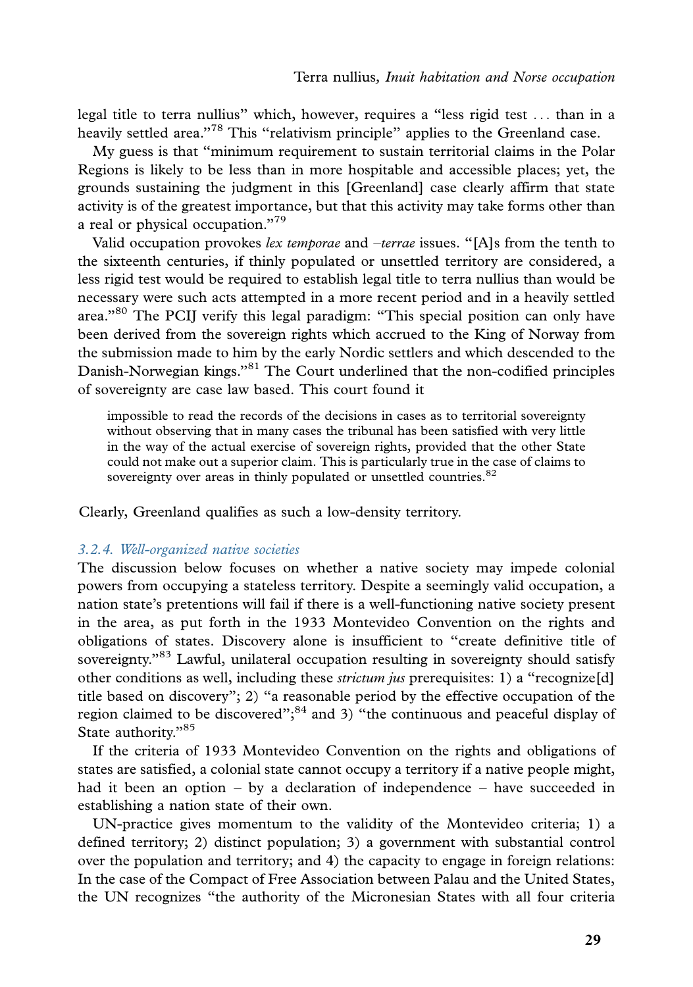legal title to terra nullius'' which, however, requires a ''less rigid test ... than in a heavily settled area."<sup>78</sup> This "relativism principle" applies to the Greenland case.

My guess is that ''minimum requirement to sustain territorial claims in the Polar Regions is likely to be less than in more hospitable and accessible places; yet, the grounds sustaining the judgment in this [Greenland] case clearly affirm that state activity is of the greatest importance, but that this activity may take forms other than a real or physical occupation."<sup>79</sup>

Valid occupation provokes lex temporae and -terrae issues. "[A]s from the tenth to the sixteenth centuries, if thinly populated or unsettled territory are considered, a less rigid test would be required to establish legal title to terra nullius than would be necessary were such acts attempted in a more recent period and in a heavily settled area."<sup>80</sup> The PCIJ verify this legal paradigm: "This special position can only have been derived from the sovereign rights which accrued to the King of Norway from the submission made to him by the early Nordic settlers and which descended to the Danish-Norwegian kings."<sup>81</sup> The Court underlined that the non-codified principles of sovereignty are case law based. This court found it

impossible to read the records of the decisions in cases as to territorial sovereignty without observing that in many cases the tribunal has been satisfied with very little in the way of the actual exercise of sovereign rights, provided that the other State could not make out a superior claim. This is particularly true in the case of claims to sovereignty over areas in thinly populated or unsettled countries.<sup>82</sup>

Clearly, Greenland qualifies as such a low-density territory.

#### 3.2.4. Well-organized native societies

The discussion below focuses on whether a native society may impede colonial powers from occupying a stateless territory. Despite a seemingly valid occupation, a nation state's pretentions will fail if there is a well-functioning native society present in the area, as put forth in the 1933 Montevideo Convention on the rights and obligations of states. Discovery alone is insufficient to ''create definitive title of sovereignty."<sup>83</sup> Lawful, unilateral occupation resulting in sovereignty should satisfy other conditions as well, including these *strictum jus* prerequisites: 1) a "recognize[d] title based on discovery''; 2) ''a reasonable period by the effective occupation of the region claimed to be discovered"; $84$  and 3) "the continuous and peaceful display of State authority."85

If the criteria of 1933 Montevideo Convention on the rights and obligations of states are satisfied, a colonial state cannot occupy a territory if a native people might, had it been an option – by a declaration of independence – have succeeded in establishing a nation state of their own.

UN-practice gives momentum to the validity of the Montevideo criteria; 1) a defined territory; 2) distinct population; 3) a government with substantial control over the population and territory; and 4) the capacity to engage in foreign relations: In the case of the Compact of Free Association between Palau and the United States, the UN recognizes ''the authority of the Micronesian States with all four criteria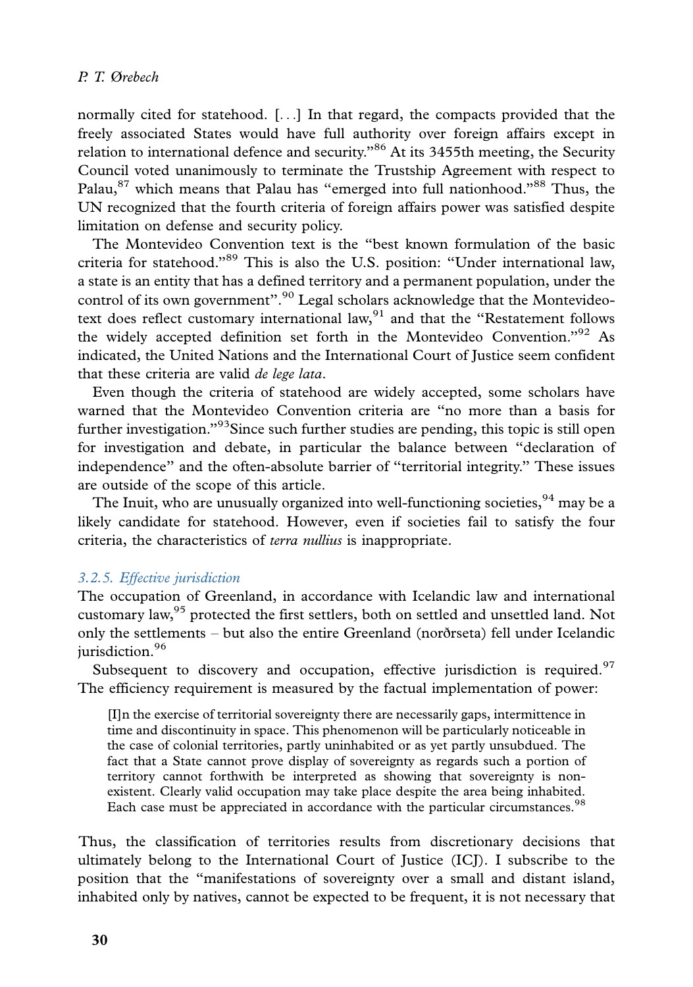normally cited for statehood. [...] In that regard, the compacts provided that the freely associated States would have full authority over foreign affairs except in relation to international defence and security. $^{86}$  At its 3455th meeting, the Security Council voted unanimously to terminate the Trustship Agreement with respect to Palau,<sup>87</sup> which means that Palau has "emerged into full nationhood."<sup>88</sup> Thus, the UN recognized that the fourth criteria of foreign affairs power was satisfied despite limitation on defense and security policy.

The Montevideo Convention text is the ''best known formulation of the basic criteria for statehood.''<sup>89</sup> This is also the U.S. position: ''Under international law, a state is an entity that has a defined territory and a permanent population, under the control of its own government".<sup>90</sup> Legal scholars acknowledge that the Montevideotext does reflect customary international law, $91$  and that the "Restatement follows" the widely accepted definition set forth in the Montevideo Convention."<sup>92</sup> As indicated, the United Nations and the International Court of Justice seem confident that these criteria are valid de lege lata.

Even though the criteria of statehood are widely accepted, some scholars have warned that the Montevideo Convention criteria are ''no more than a basis for further investigation."<sup>93</sup>Since such further studies are pending, this topic is still open for investigation and debate, in particular the balance between ''declaration of independence'' and the often-absolute barrier of ''territorial integrity.'' These issues are outside of the scope of this article.

The Inuit, who are unusually organized into well-functioning societies,  $94$  may be a likely candidate for statehood. However, even if societies fail to satisfy the four criteria, the characteristics of terra nullius is inappropriate.

# 3.2.5. Effective jurisdiction

The occupation of Greenland, in accordance with Icelandic law and international customary law,95 protected the first settlers, both on settled and unsettled land. Not only the settlements - but also the entire Greenland (norðrseta) fell under Icelandic jurisdiction.<sup>96</sup>

Subsequent to discovery and occupation, effective jurisdiction is required.<sup>97</sup> The efficiency requirement is measured by the factual implementation of power:

[I]n the exercise of territorial sovereignty there are necessarily gaps, intermittence in time and discontinuity in space. This phenomenon will be particularly noticeable in the case of colonial territories, partly uninhabited or as yet partly unsubdued. The fact that a State cannot prove display of sovereignty as regards such a portion of territory cannot forthwith be interpreted as showing that sovereignty is nonexistent. Clearly valid occupation may take place despite the area being inhabited. Each case must be appreciated in accordance with the particular circumstances.<sup>98</sup>

Thus, the classification of territories results from discretionary decisions that ultimately belong to the International Court of Justice (ICJ). I subscribe to the position that the ''manifestations of sovereignty over a small and distant island, inhabited only by natives, cannot be expected to be frequent, it is not necessary that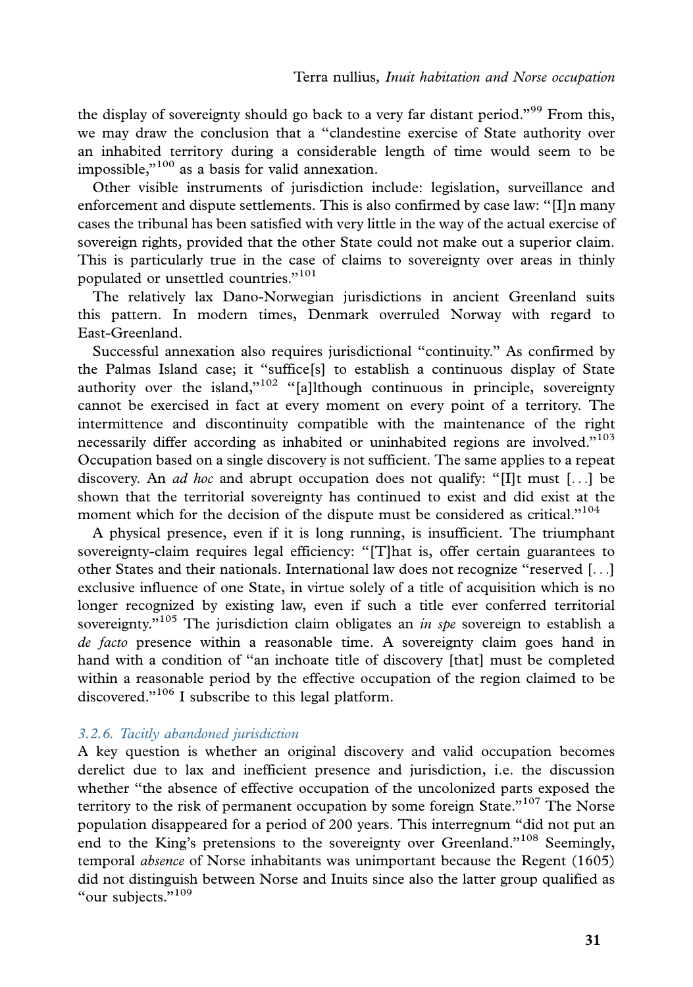the display of sovereignty should go back to a very far distant period."<sup>99</sup> From this, we may draw the conclusion that a ''clandestine exercise of State authority over an inhabited territory during a considerable length of time would seem to be impossible, $v^{100}$  as a basis for valid annexation.

Other visible instruments of jurisdiction include: legislation, surveillance and enforcement and dispute settlements. This is also confirmed by case law: ''[I]n many cases the tribunal has been satisfied with very little in the way of the actual exercise of sovereign rights, provided that the other State could not make out a superior claim. This is particularly true in the case of claims to sovereignty over areas in thinly populated or unsettled countries.''<sup>101</sup>

The relatively lax Dano-Norwegian jurisdictions in ancient Greenland suits this pattern. In modern times, Denmark overruled Norway with regard to East-Greenland.

Successful annexation also requires jurisdictional ''continuity.'' As confirmed by the Palmas Island case; it ''suffice[s] to establish a continuous display of State authority over the island," $102$  "[a]lthough continuous in principle, sovereignty cannot be exercised in fact at every moment on every point of a territory. The intermittence and discontinuity compatible with the maintenance of the right necessarily differ according as inhabited or uninhabited regions are involved."<sup>103</sup> Occupation based on a single discovery is not sufficient. The same applies to a repeat discovery. An *ad hoc* and abrupt occupation does not qualify: "[I]t must [...] be shown that the territorial sovereignty has continued to exist and did exist at the moment which for the decision of the dispute must be considered as critical."<sup>104</sup>

A physical presence, even if it is long running, is insufficient. The triumphant sovereignty-claim requires legal efficiency: ''[T]hat is, offer certain guarantees to other States and their nationals. International law does not recognize ''reserved [...] exclusive influence of one State, in virtue solely of a title of acquisition which is no longer recognized by existing law, even if such a title ever conferred territorial sovereignty."<sup>105</sup> The jurisdiction claim obligates an *in spe* sovereign to establish a de facto presence within a reasonable time. A sovereignty claim goes hand in hand with a condition of ''an inchoate title of discovery [that] must be completed within a reasonable period by the effective occupation of the region claimed to be discovered."<sup>106</sup> I subscribe to this legal platform.

# 3.2.6. Tacitly abandoned jurisdiction

A key question is whether an original discovery and valid occupation becomes derelict due to lax and inefficient presence and jurisdiction, i.e. the discussion whether ''the absence of effective occupation of the uncolonized parts exposed the territory to the risk of permanent occupation by some foreign State."<sup>107</sup> The Norse population disappeared for a period of 200 years. This interregnum ''did not put an end to the King's pretensions to the sovereignty over Greenland."<sup>108</sup> Seemingly, temporal absence of Norse inhabitants was unimportant because the Regent (1605) did not distinguish between Norse and Inuits since also the latter group qualified as "our subjects."<sup>109</sup>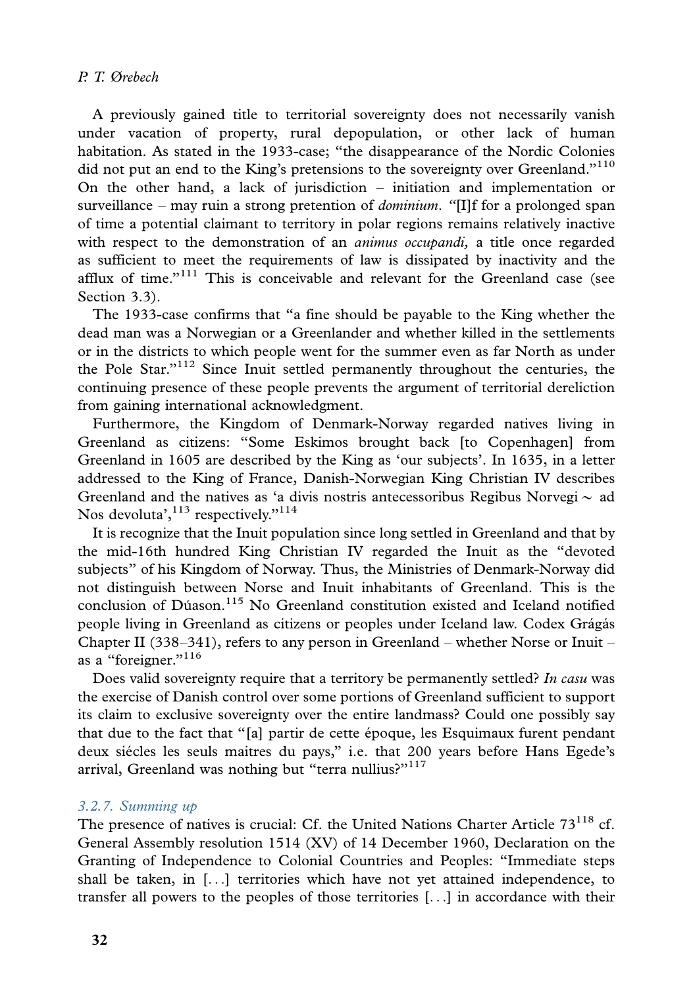A previously gained title to territorial sovereignty does not necessarily vanish under vacation of property, rural depopulation, or other lack of human habitation. As stated in the 1933-case; ''the disappearance of the Nordic Colonies did not put an end to the King's pretensions to the sovereignty over Greenland."<sup>110</sup> On the other hand, a lack of jurisdiction - initiation and implementation or surveillance – may ruin a strong pretention of *dominium*. "[I]f for a prolonged span of time a potential claimant to territory in polar regions remains relatively inactive with respect to the demonstration of an *animus occupandi*, a title once regarded as sufficient to meet the requirements of law is dissipated by inactivity and the afflux of time." $1^{11}$  This is conceivable and relevant for the Greenland case (see Section 3.3).

The 1933-case confirms that ''a fine should be payable to the King whether the dead man was a Norwegian or a Greenlander and whether killed in the settlements or in the districts to which people went for the summer even as far North as under the Pole Star."<sup>112</sup> Since Inuit settled permanently throughout the centuries, the continuing presence of these people prevents the argument of territorial dereliction from gaining international acknowledgment.

Furthermore, the Kingdom of Denmark-Norway regarded natives living in Greenland as citizens: ''Some Eskimos brought back [to Copenhagen] from Greenland in 1605 are described by the King as 'our subjects'. In 1635, in a letter addressed to the King of France, Danish-Norwegian King Christian IV describes Greenland and the natives as 'a divis nostris antecessoribus Regibus Norvegi  $\sim$  ad Nos devoluta', $113$  respectively."<sup>114</sup>

It is recognize that the Inuit population since long settled in Greenland and that by the mid-16th hundred King Christian IV regarded the Inuit as the ''devoted subjects'' of his Kingdom of Norway. Thus, the Ministries of Denmark-Norway did not distinguish between Norse and Inuit inhabitants of Greenland. This is the conclusion of Dúason.<sup>115</sup> No Greenland constitution existed and Iceland notified people living in Greenland as citizens or peoples under Iceland law. Codex Grágás Chapter II (338–341), refers to any person in Greenland – whether Norse or Inuit – as a "foreigner."<sup>116</sup>

Does valid sovereignty require that a territory be permanently settled? In casu was the exercise of Danish control over some portions of Greenland sufficient to support its claim to exclusive sovereignty over the entire landmass? Could one possibly say that due to the fact that "[a] partir de cette époque, les Esquimaux furent pendant deux siécles les seuls maitres du pays," i.e. that 200 years before Hans Egede's arrival, Greenland was nothing but "terra nullius?"<sup>117</sup>

#### 3.2.7. Summing up

The presence of natives is crucial: Cf. the United Nations Charter Article  $73^{118}$  cf. General Assembly resolution 1514 (XV) of 14 December 1960, Declaration on the Granting of Independence to Colonial Countries and Peoples: ''Immediate steps shall be taken, in [...] territories which have not yet attained independence, to transfer all powers to the peoples of those territories [...] in accordance with their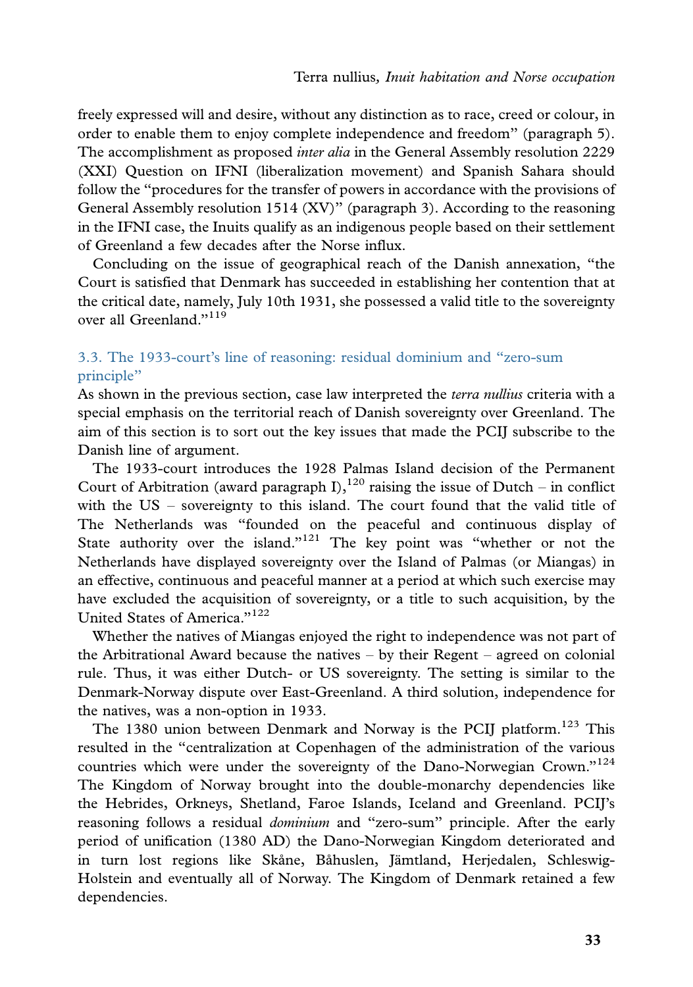freely expressed will and desire, without any distinction as to race, creed or colour, in order to enable them to enjoy complete independence and freedom'' (paragraph 5). The accomplishment as proposed *inter alia* in the General Assembly resolution 2229 (XXI) Question on IFNI (liberalization movement) and Spanish Sahara should follow the ''procedures for the transfer of powers in accordance with the provisions of General Assembly resolution 1514 (XV)'' (paragraph 3). According to the reasoning in the IFNI case, the Inuits qualify as an indigenous people based on their settlement of Greenland a few decades after the Norse influx.

Concluding on the issue of geographical reach of the Danish annexation, ''the Court is satisfied that Denmark has succeeded in establishing her contention that at the critical date, namely, July 10th 1931, she possessed a valid title to the sovereignty over all Greenland<sup>"119</sup>

# 3.3. The 1933-court's line of reasoning: residual dominium and ''zero-sum principle''

As shown in the previous section, case law interpreted the *terra nullius* criteria with a special emphasis on the territorial reach of Danish sovereignty over Greenland. The aim of this section is to sort out the key issues that made the PCIJ subscribe to the Danish line of argument.

The 1933-court introduces the 1928 Palmas Island decision of the Permanent Court of Arbitration (award paragraph I),  $120$  raising the issue of Dutch – in conflict with the US - sovereignty to this island. The court found that the valid title of The Netherlands was ''founded on the peaceful and continuous display of State authority over the island." $121$  The key point was "whether or not the Netherlands have displayed sovereignty over the Island of Palmas (or Miangas) in an effective, continuous and peaceful manner at a period at which such exercise may have excluded the acquisition of sovereignty, or a title to such acquisition, by the United States of America."<sup>122</sup>

Whether the natives of Miangas enjoyed the right to independence was not part of the Arbitrational Award because the natives – by their Regent – agreed on colonial rule. Thus, it was either Dutch- or US sovereignty. The setting is similar to the Denmark-Norway dispute over East-Greenland. A third solution, independence for the natives, was a non-option in 1933.

The 1380 union between Denmark and Norway is the PCIJ platform.<sup>123</sup> This resulted in the ''centralization at Copenhagen of the administration of the various countries which were under the sovereignty of the Dano-Norwegian Crown." $124$ The Kingdom of Norway brought into the double-monarchy dependencies like the Hebrides, Orkneys, Shetland, Faroe Islands, Iceland and Greenland. PCIJ's reasoning follows a residual *dominium* and "zero-sum" principle. After the early period of unification (1380 AD) the Dano-Norwegian Kingdom deteriorated and in turn lost regions like Skåne, Båhuslen, Jämtland, Herjedalen, Schleswig-Holstein and eventually all of Norway. The Kingdom of Denmark retained a few dependencies.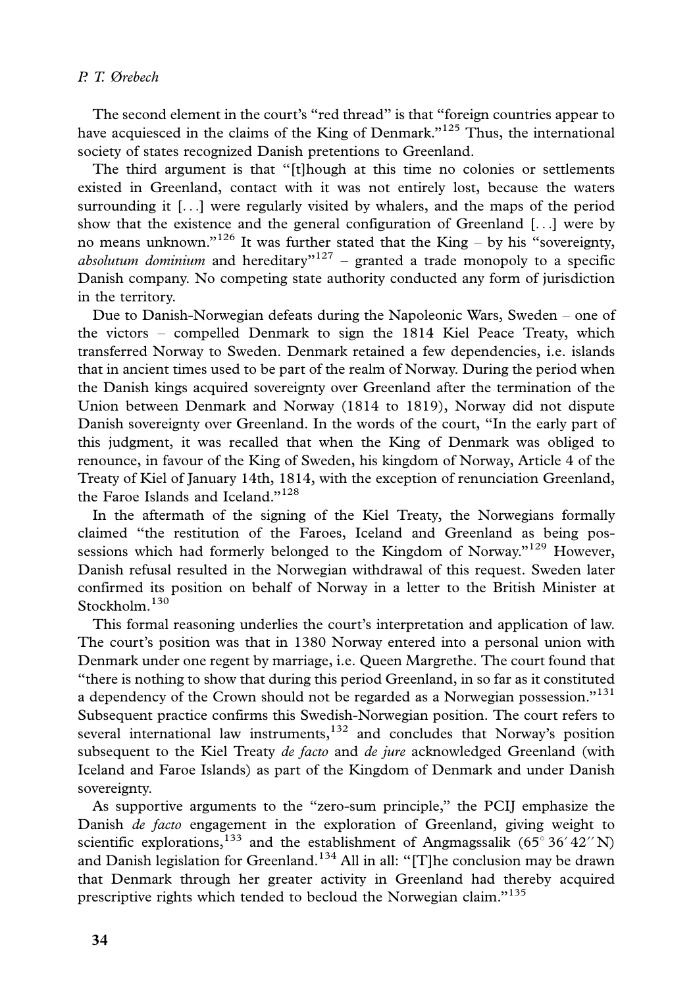The second element in the court's "red thread" is that "foreign countries appear to have acquiesced in the claims of the King of Denmark."<sup>125</sup> Thus, the international society of states recognized Danish pretentions to Greenland.

The third argument is that ''[t]hough at this time no colonies or settlements existed in Greenland, contact with it was not entirely lost, because the waters surrounding it [...] were regularly visited by whalers, and the maps of the period show that the existence and the general configuration of Greenland  $[\ldots]$  were by no means unknown."<sup>126</sup> It was further stated that the King – by his "sovereignty, absolutum dominium and hereditary"<sup>127</sup> – granted a trade monopoly to a specific Danish company. No competing state authority conducted any form of jurisdiction in the territory.

Due to Danish-Norwegian defeats during the Napoleonic Wars, Sweden - one of the victors - compelled Denmark to sign the 1814 Kiel Peace Treaty, which transferred Norway to Sweden. Denmark retained a few dependencies, i.e. islands that in ancient times used to be part of the realm of Norway. During the period when the Danish kings acquired sovereignty over Greenland after the termination of the Union between Denmark and Norway (1814 to 1819), Norway did not dispute Danish sovereignty over Greenland. In the words of the court, ''In the early part of this judgment, it was recalled that when the King of Denmark was obliged to renounce, in favour of the King of Sweden, his kingdom of Norway, Article 4 of the Treaty of Kiel of January 14th, 1814, with the exception of renunciation Greenland, the Faroe Islands and Iceland."<sup>128</sup>

In the aftermath of the signing of the Kiel Treaty, the Norwegians formally claimed ''the restitution of the Faroes, Iceland and Greenland as being possessions which had formerly belonged to the Kingdom of Norway.<sup>"129</sup> However, Danish refusal resulted in the Norwegian withdrawal of this request. Sweden later confirmed its position on behalf of Norway in a letter to the British Minister at Stockholm $^{130}$ 

This formal reasoning underlies the court's interpretation and application of law. The court's position was that in 1380 Norway entered into a personal union with Denmark under one regent by marriage, i.e. Queen Margrethe. The court found that ''there is nothing to show that during this period Greenland, in so far as it constituted a dependency of the Crown should not be regarded as a Norwegian possession."<sup>131</sup> Subsequent practice confirms this Swedish-Norwegian position. The court refers to several international law instruments, $132$  and concludes that Norway's position subsequent to the Kiel Treaty de facto and de jure acknowledged Greenland (with Iceland and Faroe Islands) as part of the Kingdom of Denmark and under Danish sovereignty.

As supportive arguments to the ''zero-sum principle,'' the PCIJ emphasize the Danish de facto engagement in the exploration of Greenland, giving weight to scientific explorations,<sup>133</sup> and the establishment of Angmagssalik ( $65^{\circ}36'42''N$ ) and Danish legislation for Greenland.<sup>134</sup> All in all: "[T]he conclusion may be drawn that Denmark through her greater activity in Greenland had thereby acquired prescriptive rights which tended to becloud the Norwegian claim."<sup>135</sup>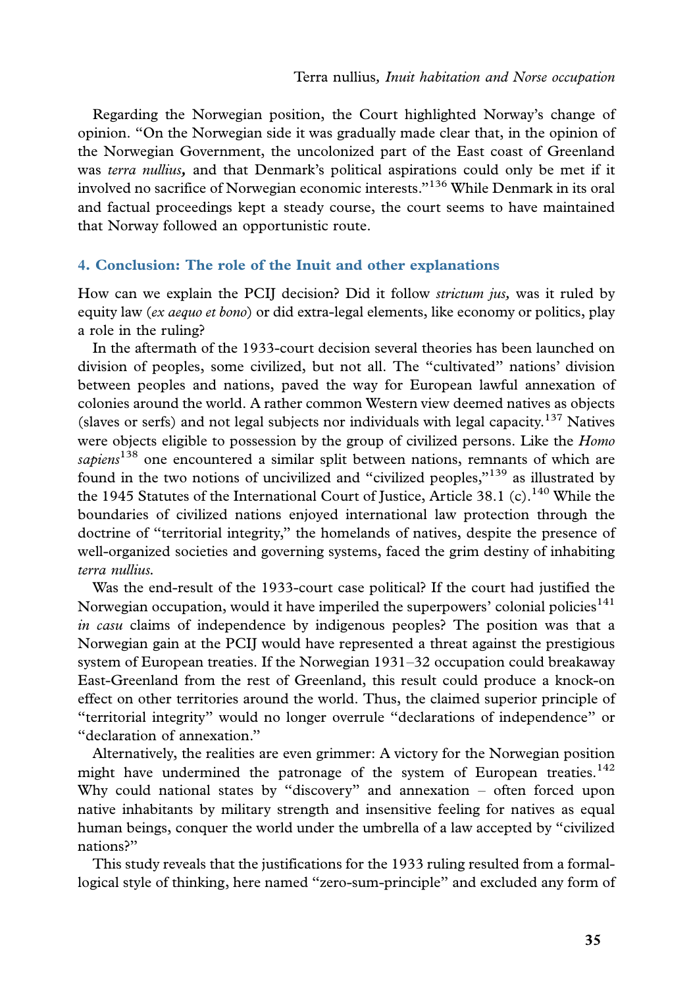Regarding the Norwegian position, the Court highlighted Norway's change of opinion. ''On the Norwegian side it was gradually made clear that, in the opinion of the Norwegian Government, the uncolonized part of the East coast of Greenland was terra nullius, and that Denmark's political aspirations could only be met if it involved no sacrifice of Norwegian economic interests.''136 While Denmark in its oral and factual proceedings kept a steady course, the court seems to have maintained that Norway followed an opportunistic route.

#### 4. Conclusion: The role of the Inuit and other explanations

How can we explain the PCIJ decision? Did it follow *strictum jus*, was it ruled by equity law (ex aequo et bono) or did extra-legal elements, like economy or politics, play a role in the ruling?

In the aftermath of the 1933-court decision several theories has been launched on division of peoples, some civilized, but not all. The ''cultivated'' nations' division between peoples and nations, paved the way for European lawful annexation of colonies around the world. A rather common Western view deemed natives as objects (slaves or serfs) and not legal subjects nor individuals with legal capacity.<sup>137</sup> Natives were objects eligible to possession by the group of civilized persons. Like the *Homo* sapiens<sup>138</sup> one encountered a similar split between nations, remnants of which are found in the two notions of uncivilized and "civilized peoples,"<sup>139</sup> as illustrated by the 1945 Statutes of the International Court of Justice, Article 38.1 (c).<sup>140</sup> While the boundaries of civilized nations enjoyed international law protection through the doctrine of ''territorial integrity,'' the homelands of natives, despite the presence of well-organized societies and governing systems, faced the grim destiny of inhabiting terra nullius.

Was the end-result of the 1933-court case political? If the court had justified the Norwegian occupation, would it have imperiled the superpowers' colonial policies<sup>141</sup> in casu claims of independence by indigenous peoples? The position was that a Norwegian gain at the PCIJ would have represented a threat against the prestigious system of European treaties. If the Norwegian 1931-32 occupation could breakaway East-Greenland from the rest of Greenland, this result could produce a knock-on effect on other territories around the world. Thus, the claimed superior principle of ''territorial integrity'' would no longer overrule ''declarations of independence'' or ''declaration of annexation.''

Alternatively, the realities are even grimmer: A victory for the Norwegian position might have undermined the patronage of the system of European treaties.<sup>142</sup> Why could national states by ''discovery'' and annexation - often forced upon native inhabitants by military strength and insensitive feeling for natives as equal human beings, conquer the world under the umbrella of a law accepted by ''civilized nations?''

This study reveals that the justifications for the 1933 ruling resulted from a formallogical style of thinking, here named ''zero-sum-principle'' and excluded any form of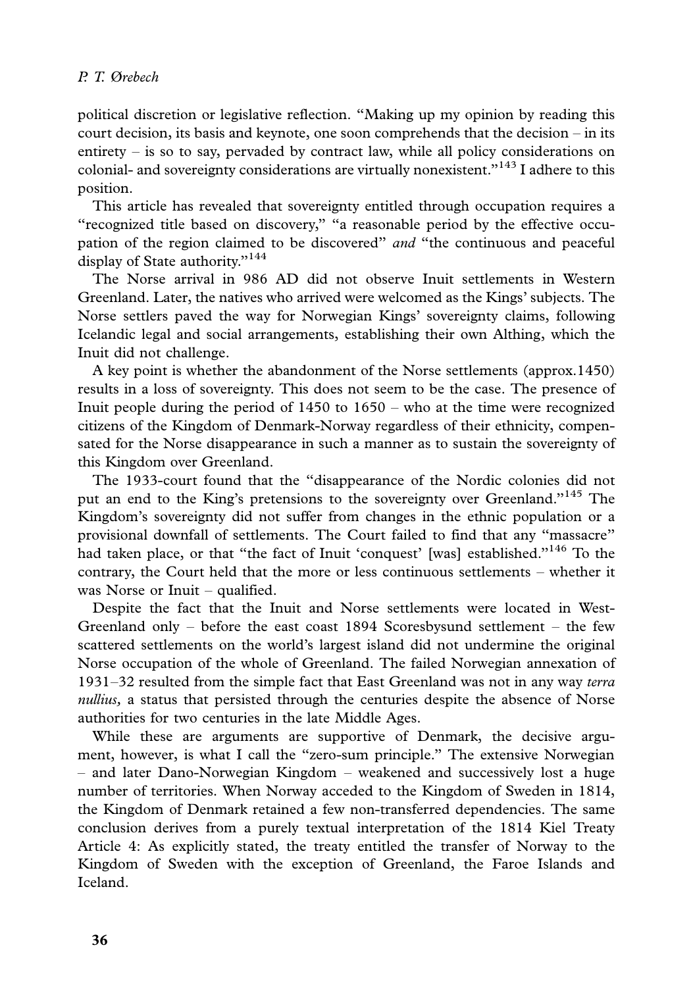political discretion or legislative reflection. ''Making up my opinion by reading this court decision, its basis and keynote, one soon comprehends that the decision  $-$  in its entirety - is so to say, pervaded by contract law, while all policy considerations on colonial- and sovereignty considerations are virtually nonexistent."<sup>143</sup> I adhere to this position.

This article has revealed that sovereignty entitled through occupation requires a ''recognized title based on discovery,'' ''a reasonable period by the effective occupation of the region claimed to be discovered'' and ''the continuous and peaceful display of State authority."<sup>144</sup>

The Norse arrival in 986 AD did not observe Inuit settlements in Western Greenland. Later, the natives who arrived were welcomed as the Kings' subjects. The Norse settlers paved the way for Norwegian Kings' sovereignty claims, following Icelandic legal and social arrangements, establishing their own Althing, which the Inuit did not challenge.

A key point is whether the abandonment of the Norse settlements (approx.1450) results in a loss of sovereignty. This does not seem to be the case. The presence of Inuit people during the period of 1450 to 1650 - who at the time were recognized citizens of the Kingdom of Denmark-Norway regardless of their ethnicity, compensated for the Norse disappearance in such a manner as to sustain the sovereignty of this Kingdom over Greenland.

The 1933-court found that the ''disappearance of the Nordic colonies did not put an end to the King's pretensions to the sovereignty over Greenland."<sup>145</sup> The Kingdom's sovereignty did not suffer from changes in the ethnic population or a provisional downfall of settlements. The Court failed to find that any ''massacre'' had taken place, or that "the fact of Inuit 'conquest' [was] established."<sup>146</sup> To the contrary, the Court held that the more or less continuous settlements - whether it was Norse or Inuit - qualified.

Despite the fact that the Inuit and Norse settlements were located in West-Greenland only - before the east coast 1894 Scoresbysund settlement - the few scattered settlements on the world's largest island did not undermine the original Norse occupation of the whole of Greenland. The failed Norwegian annexation of 1931-32 resulted from the simple fact that East Greenland was not in any way terra nullius, a status that persisted through the centuries despite the absence of Norse authorities for two centuries in the late Middle Ages.

While these are arguments are supportive of Denmark, the decisive argument, however, is what I call the ''zero-sum principle.'' The extensive Norwegian - and later Dano-Norwegian Kingdom - weakened and successively lost a huge number of territories. When Norway acceded to the Kingdom of Sweden in 1814, the Kingdom of Denmark retained a few non-transferred dependencies. The same conclusion derives from a purely textual interpretation of the 1814 Kiel Treaty Article 4: As explicitly stated, the treaty entitled the transfer of Norway to the Kingdom of Sweden with the exception of Greenland, the Faroe Islands and Iceland.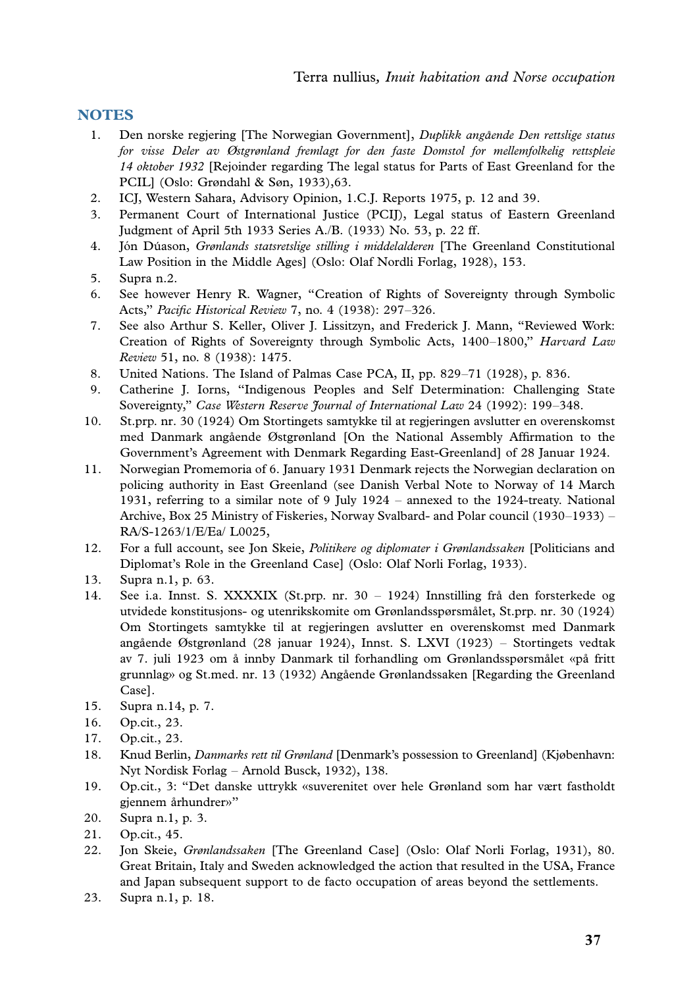# **NOTES**

- 1. Den norske regjering [The Norwegian Government], Duplikk angående Den rettslige status for visse Deler av Østgrønland fremlagt for den faste Domstol for mellemfolkelig rettspleie 14 oktober 1932 [Rejoinder regarding The legal status for Parts of East Greenland for the PCIL] (Oslo: Grøndahl & Søn, 1933),63.
- 2. ICJ, Western Sahara, Advisory Opinion, 1.C.J. Reports 1975, p. 12 and 39.
- 3. Permanent Court of International Justice (PCIJ), Legal status of Eastern Greenland Judgment of April 5th 1933 Series A./B. (1933) No. 53, p. 22 ff.
- 4. Jón Dúason, Grønlands statsretslige stilling i middelalderen [The Greenland Constitutional Law Position in the Middle Ages] (Oslo: Olaf Nordli Forlag, 1928), 153.
- 5. Supra n.2.
- 6. See however Henry R. Wagner, ''Creation of Rights of Sovereignty through Symbolic Acts," Pacific Historical Review 7, no. 4 (1938): 297–326.
- 7. See also Arthur S. Keller, Oliver J. Lissitzyn, and Frederick J. Mann, ''Reviewed Work: Creation of Rights of Sovereignty through Symbolic Acts, 1400-1800," Harvard Law Review 51, no. 8 (1938): 1475.
- 8. United Nations. The Island of Palmas Case PCA, II, pp. 829-71 (1928), p. 836.
- 9. Catherine J. Iorns, ''Indigenous Peoples and Self Determination: Challenging State Sovereignty," Case Western Reserve Journal of International Law 24 (1992): 199-348.
- 10. St.prp. nr. 30 (1924) Om Stortingets samtykke til at regjeringen avslutter en overenskomst med Danmark angående Østgrønland [On the National Assembly Affirmation to the Government's Agreement with Denmark Regarding East-Greenland] of 28 Januar 1924.
- 11. Norwegian Promemoria of 6. January 1931 Denmark rejects the Norwegian declaration on policing authority in East Greenland (see Danish Verbal Note to Norway of 14 March 1931, referring to a similar note of 9 July 1924 - annexed to the 1924-treaty. National Archive, Box 25 Ministry of Fiskeries, Norway Svalbard- and Polar council (1930-1933) - RA/S-1263/1/E/Ea/ L0025,
- 12. For a full account, see Jon Skeie, *Politikere og diplomater i Grønlandssaken* [Politicians and Diplomat's Role in the Greenland Case] (Oslo: Olaf Norli Forlag, 1933).
- 13. Supra n.1, p. 63.
- 14. See i.a. Innst. S. XXXXIX (St.prp. nr. 30 1924) Innstilling frå den forsterkede og utvidede konstitusjons- og utenrikskomite om Grønlandsspørsmålet, St.prp. nr. 30 (1924) Om Stortingets samtykke til at regjeringen avslutter en overenskomst med Danmark angående Østgrønland (28 januar 1924), Innst. S. LXVI (1923) – Stortingets vedtak av 7. juli 1923 om å innby Danmark til forhandling om Grønlandsspørsmålet «på fritt grunnlag» og St.med. nr. 13 (1932) Angående Grønlandssaken [Regarding the Greenland Case].
- 15. Supra n.14, p. 7.
- 16. Op.cit., 23.
- 17. Op.cit., 23.
- 18. Knud Berlin, Danmarks rett til Grønland [Denmark's possession to Greenland] (Kjøbenhavn: Nyt Nordisk Forlag - Arnold Busck, 1932), 138.
- 19. Op.cit., 3: ''Det danske uttrykk «suverenitet over hele Grønland som har vært fastholdt gjennem århundrer»"
- 20. Supra n.1, p. 3.
- 21. Op.cit., 45.
- 22. Jon Skeie, Grønlandssaken [The Greenland Case] (Oslo: Olaf Norli Forlag, 1931), 80. Great Britain, Italy and Sweden acknowledged the action that resulted in the USA, France and Japan subsequent support to de facto occupation of areas beyond the settlements.
- 23. Supra n.1, p. 18.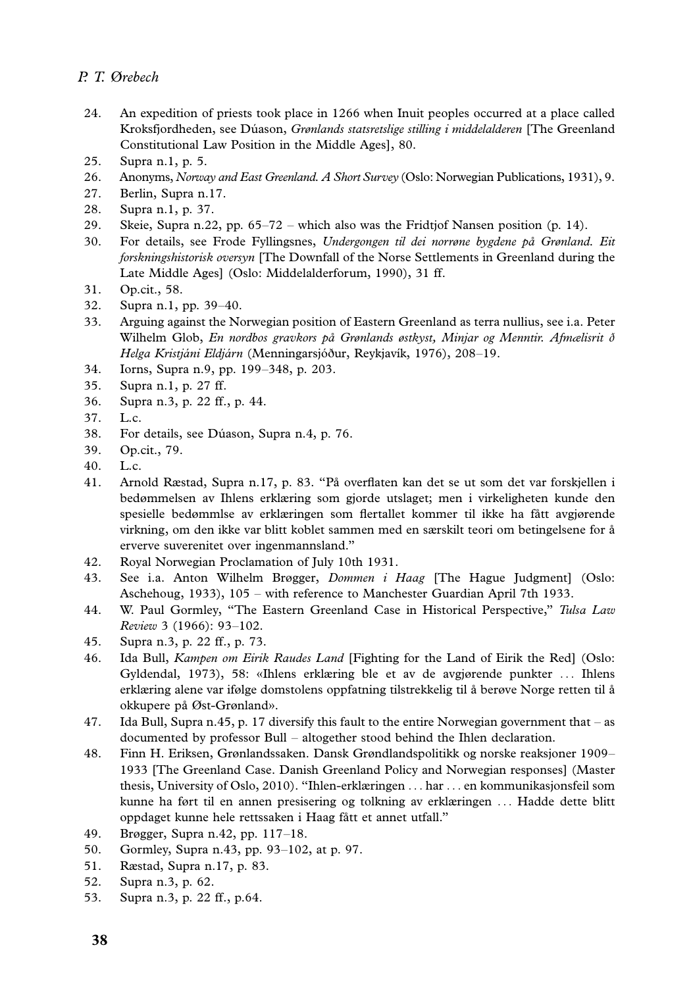- 24. An expedition of priests took place in 1266 when Inuit peoples occurred at a place called Kroksfjordheden, see Dúason, Grønlands statsretslige stilling i middelalderen [The Greenland Constitutional Law Position in the Middle Ages], 80.
- 25. Supra n.1, p. 5.
- 26. Anonyms, Norway and East Greenland. A Short Survey (Oslo: Norwegian Publications, 1931), 9.
- 27. Berlin, Supra n.17.
- 28. Supra n.1, p. 37.
- 29. Skeie, Supra n.22, pp. 65-72 which also was the Fridtjof Nansen position (p. 14).
- 30. For details, see Frode Fyllingsnes, Undergongen til dei norrøne bygdene på Grønland. Eit forskningshistorisk oversyn [The Downfall of the Norse Settlements in Greenland during the Late Middle Ages] (Oslo: Middelalderforum, 1990), 31 ff.
- 31. Op.cit., 58.
- 32. Supra n.1, pp. 39-40.
- 33. Arguing against the Norwegian position of Eastern Greenland as terra nullius, see i.a. Peter Wilhelm Glob, En nordbos gravkors på Grønlands østkyst, Minjar og Menntir. Afmælisrit ð Helga Kristjáni Eldjárn (Menningarsjóður, Reykjavík, 1976), 208-19.
- 34. Iorns, Supra n.9, pp. 199-348, p. 203.
- 35. Supra n.1, p. 27 ff.
- 36. Supra n.3, p. 22 ff., p. 44.
- 37. L.c.
- 38. For details, see Du´ason, Supra n.4, p. 76.
- 39. Op.cit., 79.
- 40. L.c.
- 41. Arnold Ræstad, Supra n.17, p. 83. "På overflaten kan det se ut som det var forskjellen i bedømmelsen av Ihlens erklæring som gjorde utslaget; men i virkeligheten kunde den spesielle bedømmlse av erklæringen som flertallet kommer til ikke ha fått avgjørende virkning, om den ikke var blitt koblet sammen med en særskilt teori om betingelsene for å erverve suverenitet over ingenmannsland.''
- 42. Royal Norwegian Proclamation of July 10th 1931.
- 43. See i.a. Anton Wilhelm Brøgger, *Dommen i Haag* [The Hague Judgment] (Oslo: Aschehoug, 1933), 105 - with reference to Manchester Guardian April 7th 1933.
- 44. W. Paul Gormley, "The Eastern Greenland Case in Historical Perspective," Tulsa Law Review 3 (1966): 93-102.
- 45. Supra n.3, p. 22 ff., p. 73.
- 46. Ida Bull, Kampen om Eirik Raudes Land [Fighting for the Land of Eirik the Red] (Oslo: Gyldendal, 1973), 58: «Ihlens erklæring ble et av de avgjørende punkter ... Ihlens erklæring alene var ifølge domstolens oppfatning tilstrekkelig til å berøve Norge retten til å okkupere på Øst-Grønland».
- 47. Ida Bull, Supra n.45, p. 17 diversify this fault to the entire Norwegian government that as documented by professor Bull - altogether stood behind the Ihlen declaration.
- 48. Finn H. Eriksen, Grønlandssaken. Dansk Grøndlandspolitikk og norske reaksjoner 1909- 1933 [The Greenland Case. Danish Greenland Policy and Norwegian responses] (Master thesis, University of Oslo, 2010). ''Ihlen-erklæringen ... har ... en kommunikasjonsfeil som kunne ha ført til en annen presisering og tolkning av erklæringen ... Hadde dette blitt oppdaget kunne hele rettssaken i Haag fått et annet utfall."
- 49. Brøgger, Supra n.42, pp. 117-18.
- 50. Gormley, Supra n.43, pp. 93-102, at p. 97.
- 51. Ræstad, Supra n.17, p. 83.
- 52. Supra n.3, p. 62.
- 53. Supra n.3, p. 22 ff., p.64.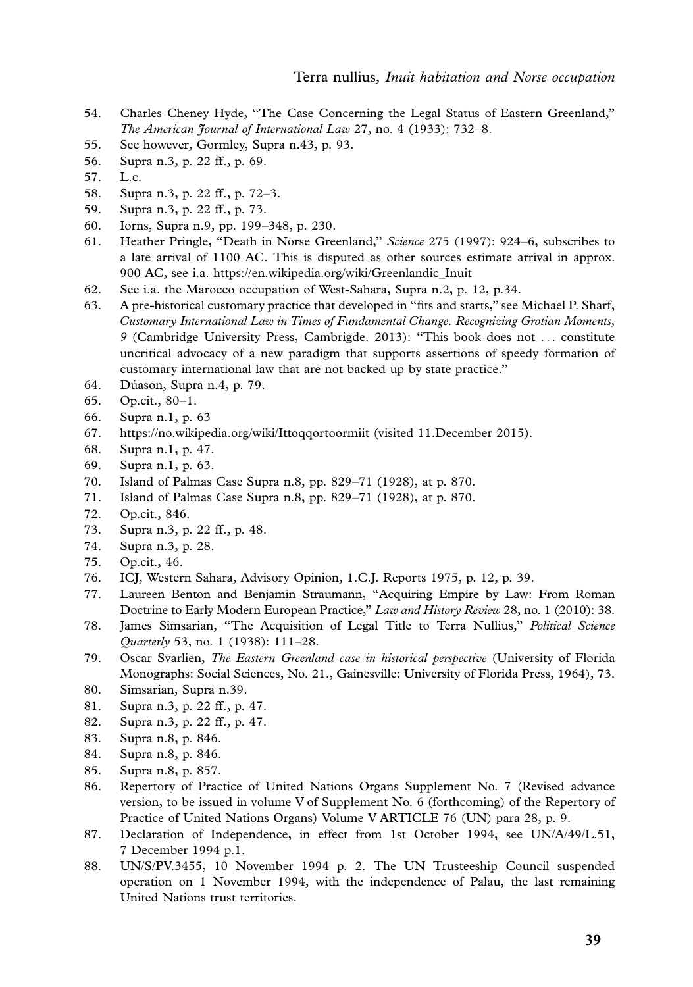- 54. Charles Cheney Hyde, ''The Case Concerning the Legal Status of Eastern Greenland,'' The American Journal of International Law 27, no. 4 (1933): 732-8.
- 55. See however, G[ormley, Supra n.43, p. 93.](https://en.wikipedia.org/wiki/Greenlandic_Inuit)
- 56. Supra n.3, p. 22 ff., p. 69.
- 57. L.c.
- 58. Supra n.3, p. 22 ff., p. 72-3.
- 59. Supra n.3, p. 22 ff., p. 73.
- 60. Iorns, Supra n.9, pp. 199-348, p. 230.
- 61. Heather Pringle, "Death in Norse Greenland," Science 275 (1997): 924–6, subscribes to a late arrival of 1100 AC. This is disputed as other sources estimate arrival in approx. 900 AC, see i.a. https://en.wikipedia.org/wiki/Greenlandic\_Inuit
- 62. See i.a. the Marocco occupation of West-Sahara, Supra n.2, p. 12, p.34.
- 63. [A pre-historical customary practice that develo](https://no.wikipedia.org/wiki/Ittoqqortoormiit)ped in ''fits and starts,'' see Michael P. Sharf, Customary International Law in Times of Fundamental Change. Recognizing Grotian Moments, 9 (Cambridge University Press, Cambrigde. 2013): ''This book does not ... constitute uncritical advocacy of a new paradigm that supports assertions of speedy formation of customary international law that are not backed up by state practice.''
- 64. Du´ason, Supra n.4, p. 79.
- 65. Op.cit., 80-1.
- 66. Supra n.1, p. 63
- 67. https://no.wikipedia.org/wiki/Ittoqqortoormiit (visited 11.December 2015).
- 68. Supra n.1, p. 47.
- 69. Supra n.1, p. 63.
- 70. Island of Palmas Case Supra n.8, pp. 829-71 (1928), at p. 870.
- 71. Island of Palmas Case Supra n.8, pp. 829-71 (1928), at p. 870.
- 72. Op.cit., 846.
- 73. Supra n.3, p. 22 ff., p. 48.
- 74. Supra n.3, p. 28.
- 75. Op.cit., 46.
- 76. ICJ, Western Sahara, Advisory Opinion, 1.C.J. Reports 1975, p. 12, p. 39.
- 77. Laureen Benton and Benjamin Straumann, ''Acquiring Empire by Law: From Roman Doctrine to Early Modern European Practice," Law and History Review 28, no. 1 (2010): 38.
- 78. James Simsarian, ''The Acquisition of Legal Title to Terra Nullius,'' Political Science Quarterly 53, no. 1 (1938): 111-28.
- 79. Oscar Svarlien, The Eastern Greenland case in historical perspective (University of Florida Monographs: Social Sciences, No. 21., Gainesville: University of Florida Press, 1964), 73.
- 80. Simsarian, Supra n.39.
- 81. Supra n.3, p. 22 ff., p. 47.
- 82. Supra n.3, p. 22 ff., p. 47.
- 83. Supra n.8, p. 846.
- 84. Supra n.8, p. 846.
- 85. Supra n.8, p. 857.
- 86. Repertory of Practice of United Nations Organs Supplement No. 7 (Revised advance version, to be issued in volume V of Supplement No. 6 (forthcoming) of the Repertory of Practice of United Nations Organs) Volume V ARTICLE 76 (UN) para 28, p. 9.
- 87. Declaration of Independence, in effect from 1st October 1994, see UN/A/49/L.51, 7 December 1994 p.1.
- 88. UN/S/PV.3455, 10 November 1994 p. 2. The UN Trusteeship Council suspended operation on 1 November 1994, with the independence of Palau, the last remaining United Nations trust territories.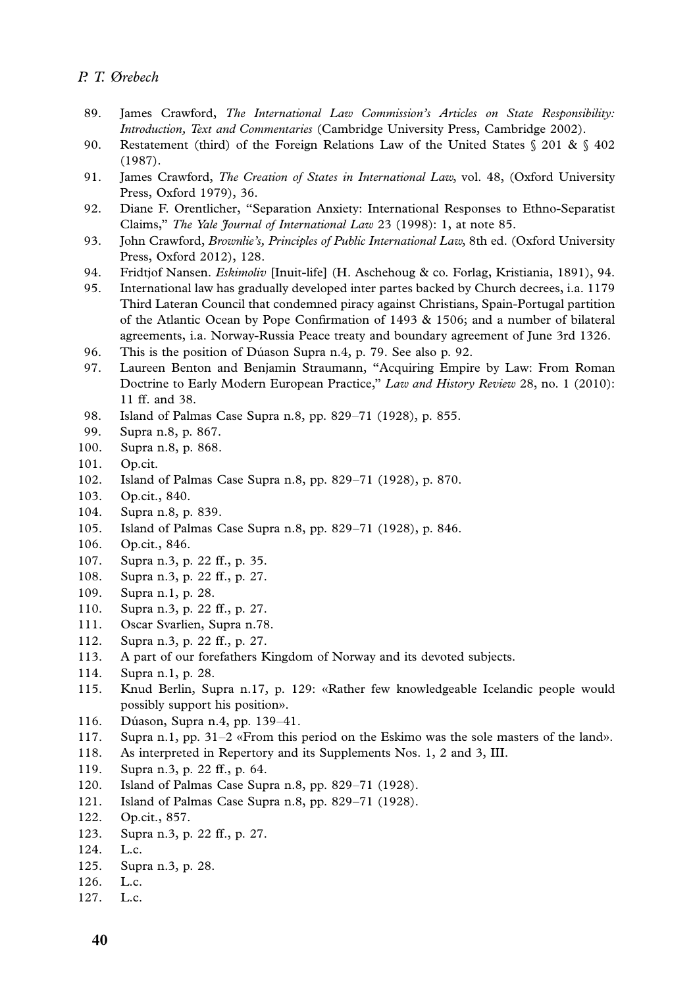- 89. James Crawford, The International Law Commission's Articles on State Responsibility: Introduction, Text and Commentaries (Cambridge University Press, Cambridge 2002).
- 90. Restatement (third) of the Foreign Relations Law of the United States § 201 & § 402 (1987).
- 91. James Crawford, *The Creation of States in International Law*, vol. 48, (Oxford University Press, Oxford 1979), 36.
- 92. Diane F. Orentlicher, ''Separation Anxiety: International Responses to Ethno-Separatist Claims," The Yale *fournal of International Law 23* (1998): 1, at note 85.
- 93. John Crawford, Brownlie's, Principles of Public International Law, 8th ed. (Oxford University Press, Oxford 2012), 128.
- 94. Fridtjof Nansen. Eskimoliv [Inuit-life] (H. Aschehoug & co. Forlag, Kristiania, 1891), 94.
- 95. International law has gradually developed inter partes backed by Church decrees, i.a. 1179 Third Lateran Council that condemned piracy against Christians, Spain-Portugal partition of the Atlantic Ocean by Pope Confirmation of 1493 & 1506; and a number of bilateral agreements, i.a. Norway-Russia Peace treaty and boundary agreement of June 3rd 1326.
- 96. This is the position of Du´ason Supra n.4, p. 79. See also p. 92.
- 97. Laureen Benton and Benjamin Straumann, ''Acquiring Empire by Law: From Roman Doctrine to Early Modern European Practice," Law and History Review 28, no. 1 (2010): 11 ff. and 38.
- 98. Island of Palmas Case Supra n.8, pp. 829-71 (1928), p. 855.
- 99. Supra n.8, p. 867.
- 100. Supra n.8, p. 868.
- 101. Op.cit.
- 102. Island of Palmas Case Supra n.8, pp. 829-71 (1928), p. 870.
- 103. Op.cit., 840.
- 104. Supra n.8, p. 839.
- 105. Island of Palmas Case Supra n.8, pp. 829-71 (1928), p. 846.
- 106. Op.cit., 846.
- 107. Supra n.3, p. 22 ff., p. 35.
- 108. Supra n.3, p. 22 ff., p. 27.
- 109. Supra n.1, p. 28.
- 110. Supra n.3, p. 22 ff., p. 27.
- 111. Oscar Svarlien, Supra n.78.
- 112. Supra n.3, p. 22 ff., p. 27.
- 113. A part of our forefathers Kingdom of Norway and its devoted subjects.
- 114. Supra n.1, p. 28.
- 115. Knud Berlin, Supra n.17, p. 129: «Rather few knowledgeable Icelandic people would possibly support his position».
- 116. Dúason, Supra n.4, pp. 139-41.
- 117. Supra n.1, pp. 31-2 «From this period on the Eskimo was the sole masters of the land».
- 118. As interpreted in Repertory and its Supplements Nos. 1, 2 and 3, III.
- 119. Supra n.3, p. 22 ff., p. 64.
- 120. Island of Palmas Case Supra n.8, pp. 829-71 (1928).
- 121. Island of Palmas Case Supra n.8, pp. 829-71 (1928).
- 122. Op.cit., 857.
- 123. Supra n.3, p. 22 ff., p. 27.
- 124. L.c.
- 125. Supra n.3, p. 28.
- 126. L.c.
- 127. L.c.